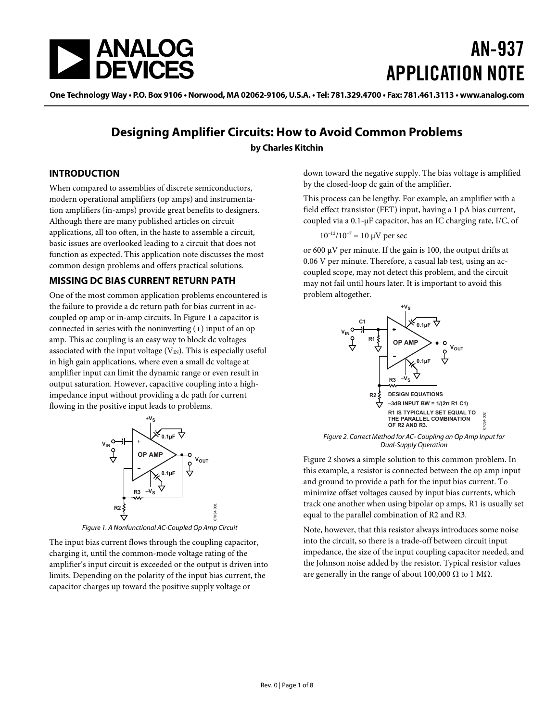<span id="page-0-2"></span>

# AN-937 APPLICATION NOTE

One Technology Way • P.O. Box 9106 • Norwood, MA 02062-9106, U.S.A. • Tel: 781.329.4700 • Fax: 781.461.3113 • www.analog.com

### **Designing Amplifier Circuits: How to Avoid Common Problems by Charles Kitchin**

#### **INTRODUCTION**

When compared to assemblies of discrete semiconductors, modern operational amplifiers (op amps) and instrumentation amplifiers (in-amps) provide great benefits to designers. Although there are many published articles on circuit applications, all too often, in the haste to assemble a circuit, basic issues are overlooked leading to a circuit that does not function as expected. This application note discusses the most common design problems and offers practical solutions.

#### **MISSING DC BIAS CURRENT RETURN PATH**

One of the most common application problems encountered is the failure to provide a dc return path for bias current in accoupled op amp or in-amp circuits. In [Figure 1](#page-0-0) a capacitor is connected in series with the noninverting  $(+)$  input of an op amp. This ac coupling is an easy way to block dc voltages associated with the input voltage  $(V<sub>IN</sub>)$ . This is especially useful in high gain applications, where even a small dc voltage at amplifier input can limit the dynamic range or even result in output saturation. However, capacitive coupling into a highimpedance input without providing a dc path for current flowing in the positive input leads to problems.

<span id="page-0-1"></span>

Figure 1. A Nonfunctional AC-Coupled Op Amp Circuit

<span id="page-0-0"></span>The input bias current flows through the coupling capacitor, charging it, until the common-mode voltage rating of the amplifier's input circuit is exceeded or the output is driven into limits. Depending on the polarity of the input bias current, the capacitor charges up toward the positive supply voltage or

down toward the negative supply. The bias voltage is amplified by the closed-loop dc gain of the amplifier.

This process can be lengthy. For example, an amplifier with a field effect transistor (FET) input, having a 1 pA bias current, coupled via a 0.1-μF capacitor, has an IC charging rate, I/C, of

#### $10^{-12}/10^{-7} = 10 \mu V$  per sec

or 600 μV per minute. If the gain is 100, the output drifts at 0.06 V per minute. Therefore, a casual lab test, using an accoupled scope, may not detect this problem, and the circuit may not fail until hours later. It is important to avoid this problem altogether.





[Figure 2](#page-0-1) shows a simple solution to this common problem. In this example, a resistor is connected between the op amp input and ground to provide a path for the input bias current. To minimize offset voltages caused by input bias currents, which track one another when using bipolar op amps, R1 is usually set equal to the parallel combination of R2 and R3.

Note, however, that this resistor always introduces some noise into the circuit, so there is a trade-off between circuit input impedance, the size of the input coupling capacitor needed, and the Johnson noise added by the resistor. Typical resistor values are generally in the range of about 100,000  $Ω$  to 1  $MΩ$ .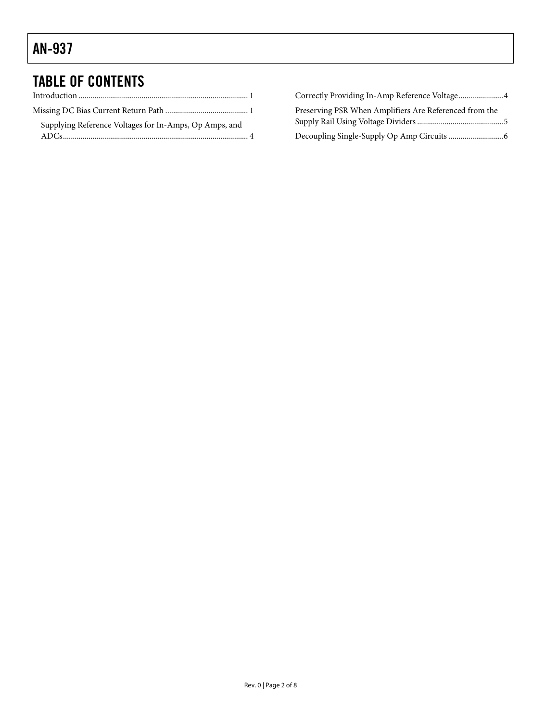## TABLE OF CONTENTS

| Supplying Reference Voltages for In-Amps, Op Amps, and |  |
|--------------------------------------------------------|--|
|                                                        |  |

| Correctly Providing In-Amp Reference Voltage4          |  |
|--------------------------------------------------------|--|
| Preserving PSR When Amplifiers Are Referenced from the |  |
|                                                        |  |
|                                                        |  |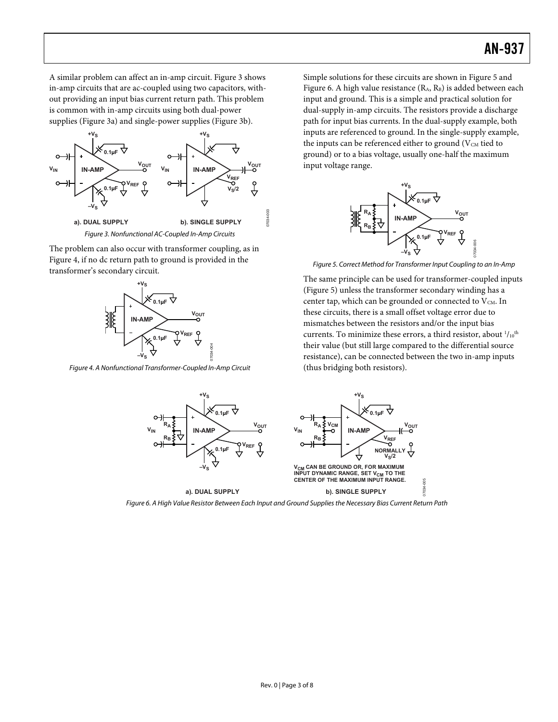A similar problem can affect an in-amp circuit. [Figure 3](#page-2-0) shows in-amp circuits that are ac-coupled using two capacitors, without providing an input bias current return path. This problem is common with in-amp circuits using both dual-power supplies (Figure 3a) and single-power supplies (Figure 3b).



<span id="page-2-2"></span><span id="page-2-0"></span>The problem can also occur with transformer coupling, as in [Figure 4](#page-2-1), if no dc return path to ground is provided in the transformer's secondary circuit.



<span id="page-2-1"></span>Figure 4. A Nonfunctional Transformer-Coupled In-Amp Circuit

Simple solutions for these circuits are shown in [Figure 5](#page-2-2) and [Figure 6](#page-2-3). A high value resistance (R<sub>A</sub>, R<sub>B</sub>) is added between each input and ground. This is a simple and practical solution for dual-supply in-amp circuits. The resistors provide a discharge path for input bias currents. In the dual-supply example, both inputs are referenced to ground. In the single-supply example, the inputs can be referenced either to ground ( $V_{CM}$  tied to ground) or to a bias voltage, usually one-half the maximum input voltage range.



Figure 5. Correct Method for Transformer Input Coupling to an In-Amp

07034-006

The same principle can be used for transformer-coupled inputs [\(Figure 5](#page-2-2)) unless the transformer secondary winding has a center tap, which can be grounded or connected to  $V_{CM}$ . In these circuits, there is a small offset voltage error due to mismatches between the resistors and/or the input bias currents. To minimize these errors, a third resistor, about  $\frac{1}{10}$ <sup>th</sup> their value (but still large compared to the differential source resistance), can be connected between the two in-amp inputs (thus bridging both resistors).



<span id="page-2-3"></span>Figure 6. A High Value Resistor Between Each Input and Ground Supplies the Necessary Bias Current Return Path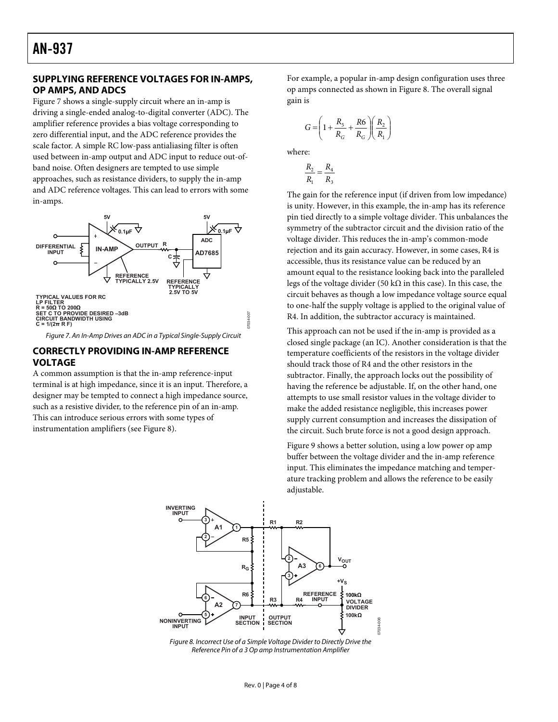#### <span id="page-3-0"></span>**SUPPLYING REFERENCE VOLTAGES FOR IN-AMPS, OP AMPS, AND ADCS**

[Figure 7](#page-3-1) shows a single-supply circuit where an in-amp is driving a single-ended analog-to-digital converter (ADC). The amplifier reference provides a bias voltage corresponding to zero differential input, and the ADC reference provides the scale factor. A simple RC low-pass antialiasing filter is often used between in-amp output and ADC input to reduce out-ofband noise. Often designers are tempted to use simple approaches, such as resistance dividers, to supply the in-amp and ADC reference voltages. This can lead to errors with some in-amps.



Figure 7. An In-Amp Drives an ADC in a Typical Single-Supply Circuit

#### <span id="page-3-1"></span>**CORRECTLY PROVIDING IN-AMP REFERENCE VOLTAGE**

A common assumption is that the in-amp reference-input terminal is at high impedance, since it is an input. Therefore, a designer may be tempted to connect a high impedance source, such as a resistive divider, to the reference pin of an in-amp. This can introduce serious errors with some types of instrumentation amplifiers (see [Figure 8](#page-3-2)).

For example, a popular in-amp design configuration uses three op amps connected as shown in [Figure 8.](#page-3-2) The overall signal gain is

$$
G = \left(1 + \frac{R_5}{R_G} + \frac{R6}{R_G}\right)\left(\frac{R_2}{R_1}\right)
$$

where:

$$
\frac{R_2}{R_1}=\frac{R_4}{R_3}
$$

The gain for the reference input (if driven from low impedance) is unity. However, in this example, the in-amp has its reference pin tied directly to a simple voltage divider. This unbalances the symmetry of the subtractor circuit and the division ratio of the voltage divider. This reduces the in-amp's common-mode rejection and its gain accuracy. However, in some cases, R4 is accessible, thus its resistance value can be reduced by an amount equal to the resistance looking back into the paralleled legs of the voltage divider (50 kΩ in this case). In this case, the circuit behaves as though a low impedance voltage source equal to one-half the supply voltage is applied to the original value of R4. In addition, the subtractor accuracy is maintained.

This approach can not be used if the in-amp is provided as a closed single package (an IC). Another consideration is that the temperature coefficients of the resistors in the voltage divider should track those of R4 and the other resistors in the subtractor. Finally, the approach locks out the possibility of having the reference be adjustable. If, on the other hand, one attempts to use small resistor values in the voltage divider to make the added resistance negligible, this increases power supply current consumption and increases the dissipation of the circuit. Such brute force is not a good design approach.

[Figure 9](#page-4-1) shows a better solution, using a low power op amp buffer between the voltage divider and the in-amp reference input. This eliminates the impedance matching and temperature tracking problem and allows the reference to be easily adjustable.



<span id="page-3-2"></span>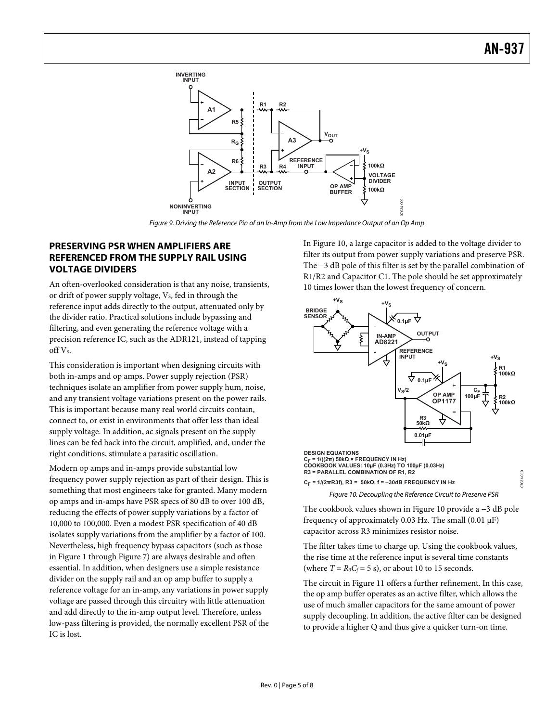<span id="page-4-0"></span>

Figure 9. Driving the Reference Pin of an In-Amp from the Low Impedance Output of an Op Amp

#### <span id="page-4-1"></span>**PRESERVING PSR WHEN AMPLIFIERS ARE REFERENCED FROM THE SUPPLY RAIL USING VOLTAGE DIVIDERS**

An often-overlooked consideration is that any noise, transients, or drift of power supply voltage, V<sub>s</sub>, fed in through the reference input adds directly to the output, attenuated only by the divider ratio. Practical solutions include bypassing and filtering, and even generating the reference voltage with a precision reference IC, such as the ADR121, instead of tapping off V<sub>s</sub>.

This consideration is important when designing circuits with both in-amps and op amps. Power supply rejection (PSR) techniques isolate an amplifier from power supply hum, noise, and any transient voltage variations present on the power rails. This is important because many real world circuits contain, connect to, or exist in environments that offer less than ideal supply voltage. In addition, ac signals present on the supply lines can be fed back into the circuit, amplified, and, under the right conditions, stimulate a parasitic oscillation.

<span id="page-4-2"></span>Modern op amps and in-amps provide substantial low frequency power supply rejection as part of their design. This is something that most engineers take for granted. Many modern op amps and in-amps have PSR specs of 80 dB to over 100 dB, reducing the effects of power supply variations by a factor of 10,000 to 100,000. Even a modest PSR specification of 40 dB isolates supply variations from the amplifier by a factor of 100. Nevertheless, high frequency bypass capacitors (such as those in [Figure 1](#page-0-0) through [Figure 7](#page-3-1)) are always desirable and often essential. In addition, when designers use a simple resistance divider on the supply rail and an op amp buffer to supply a reference voltage for an in-amp, any variations in power supply voltage are passed through this circuitry with little attenuation and add directly to the in-amp output level. Therefore, unless low-pass filtering is provided, the normally excellent PSR of the IC is lost.

In [Figure 10](#page-4-2), a large capacitor is added to the voltage divider to filter its output from power supply variations and preserve PSR. The −3 dB pole of this filter is set by the parallel combination of R1/R2 and Capacitor C1. The pole should be set approximately 10 times lower than the lowest frequency of concern.



The cookbook values shown in [Figure 10](#page-4-2) provide a −3 dB pole frequency of approximately 0.03 Hz. The small (0.01 μF) capacitor across R3 minimizes resistor noise.

The filter takes time to charge up. Using the cookbook values, the rise time at the reference input is several time constants (where  $T = R_3C_f = 5$  s), or about 10 to 15 seconds.

The circuit in [Figure 11](#page-5-1) offers a further refinement. In this case, the op amp buffer operates as an active filter, which allows the use of much smaller capacitors for the same amount of power supply decoupling. In addition, the active filter can be designed to provide a higher Q and thus give a quicker turn-on time.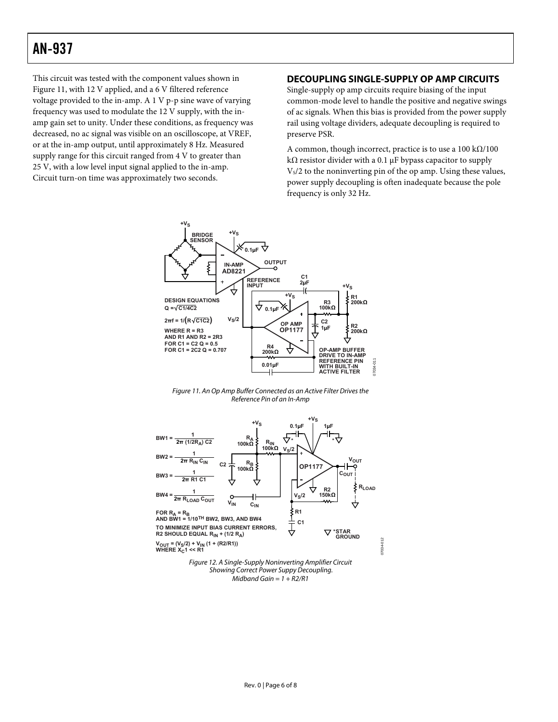### <span id="page-5-0"></span>AN-937

This circuit was tested with the component values shown in [Figure 11](#page-5-1), with 12 V applied, and a 6 V filtered reference voltage provided to the in-amp. A 1 V p-p sine wave of varying frequency was used to modulate the 12 V supply, with the inamp gain set to unity. Under these conditions, as frequency was decreased, no ac signal was visible on an oscilloscope, at VREF, or at the in-amp output, until approximately 8 Hz. Measured supply range for this circuit ranged from 4 V to greater than 25 V, with a low level input signal applied to the in-amp. Circuit turn-on time was approximately two seconds.

#### **DECOUPLING SINGLE-SUPPLY OP AMP CIRCUITS**

Single-supply op amp circuits require biasing of the input common-mode level to handle the positive and negative swings of ac signals. When this bias is provided from the power supply rail using voltage dividers, adequate decoupling is required to preserve PSR.

A common, though incorrect, practice is to use a  $100 \text{ k}\Omega/100$ kΩ resistor divider with a 0.1 μF bypass capacitor to supply  $V<sub>S</sub>/2$  to the noninverting pin of the op amp. Using these values, power supply decoupling is often inadequate because the pole frequency is only 32 Hz.





<span id="page-5-2"></span><span id="page-5-1"></span>

Midband Gain =  $1 + R2/R1$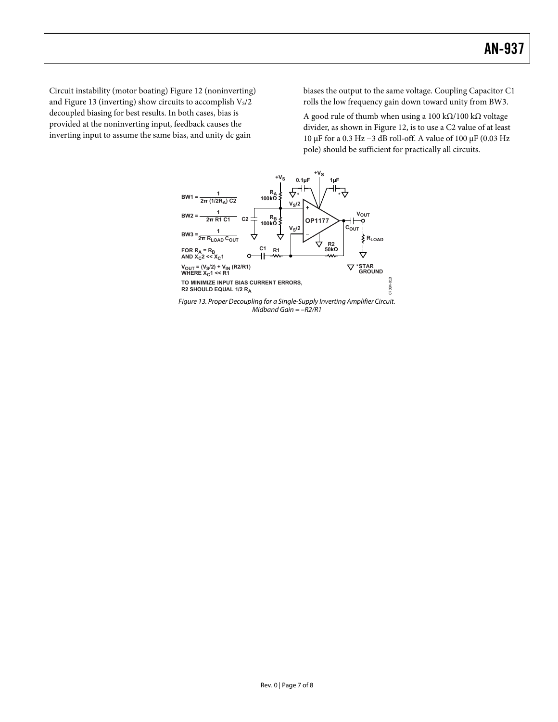Circuit instability (motor boating) [Figure 12](#page-5-2) (noninverting) and [Figure 13](#page-6-0) (inverting) show circuits to accomplish  $V_s/2$ decoupled biasing for best results. In both cases, bias is provided at the noninverting input, feedback causes the inverting input to assume the same bias, and unity dc gain

biases the output to the same voltage. Coupling Capacitor C1 rolls the low frequency gain down toward unity from BW3.

A good rule of thumb when using a 100 kΩ/100 kΩ voltage divider, as shown in [Figure 12](#page-5-2), is to use a C2 value of at least 10 μF for a 0.3 Hz −3 dB roll-off. A value of 100 μF (0.03 Hz pole) should be sufficient for practically all circuits.

<span id="page-6-0"></span>